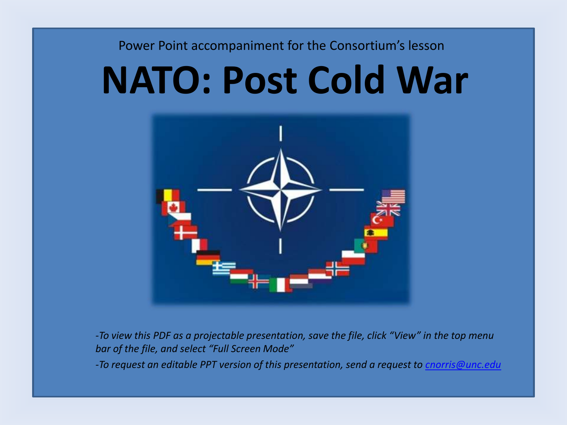#### Power Point accompaniment for the Consortium's lesson

# **NATO: Post Cold War**



*-To view this PDF as a projectable presentation, save the file, click "View" in the top menu bar of the file, and select "Full Screen Mode"*

*-To request an editable PPT version of this presentation, send a request to [cnorris@unc.edu](mailto:cnorris@unc.edu)*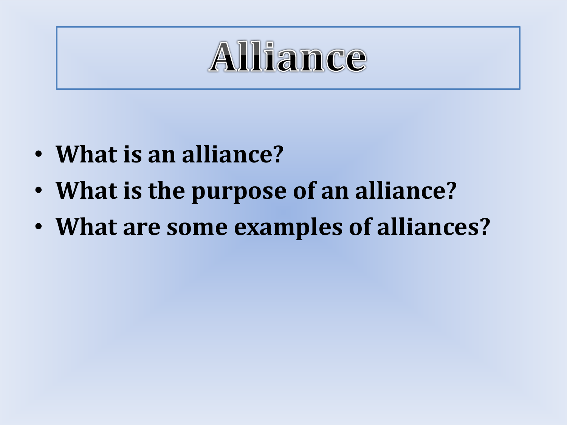# Alliance

- **What is an alliance?**
- **What is the purpose of an alliance?**
- **What are some examples of alliances?**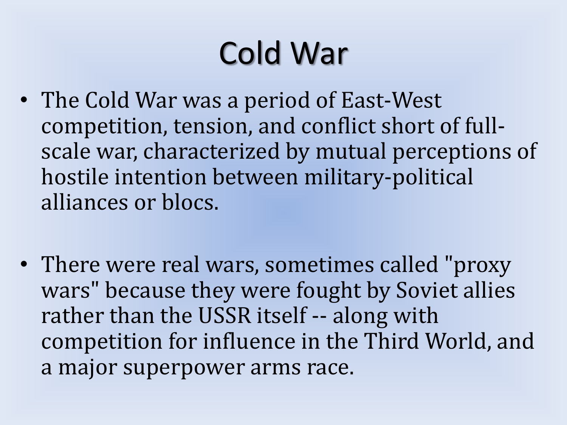# Cold War

- The Cold War was a period of East-West competition, tension, and conflict short of fullscale war, characterized by mutual perceptions of hostile intention between military-political alliances or blocs.
- There were real wars, sometimes called "proxy wars" because they were fought by Soviet allies rather than the USSR itself -- along with competition for influence in the Third World, and a major superpower arms race.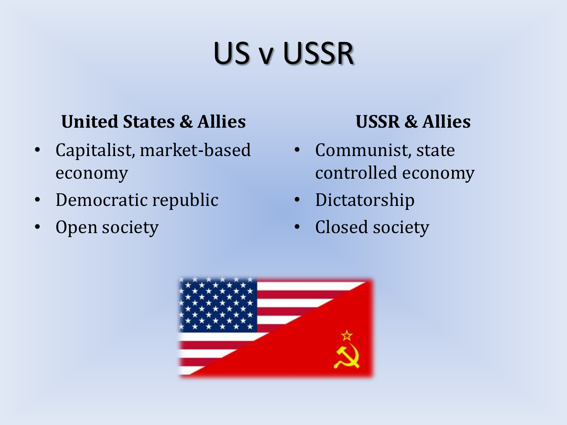# US v USSR

#### **United States & Allies**

- Capitalist, market-based economy
- Democratic republic
- Open society

#### **USSR & Allies**

- Communist, state controlled economy
- Dictatorship
- Closed society

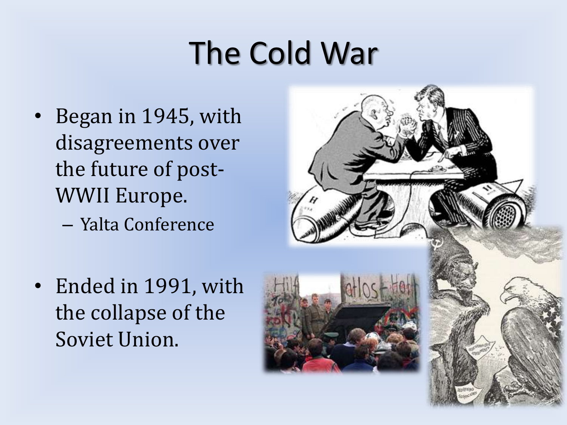## The Cold War

- Began in 1945, with disagreements over the future of post-WWII Europe.
	- Yalta Conference
- Ended in 1991, with the collapse of the Soviet Union.

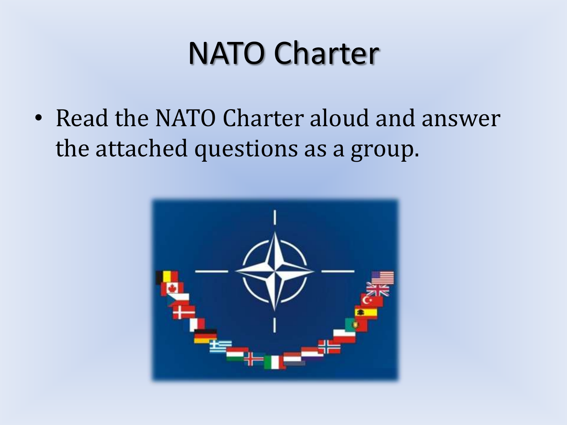#### NATO Charter

• Read the NATO Charter aloud and answer the attached questions as a group.

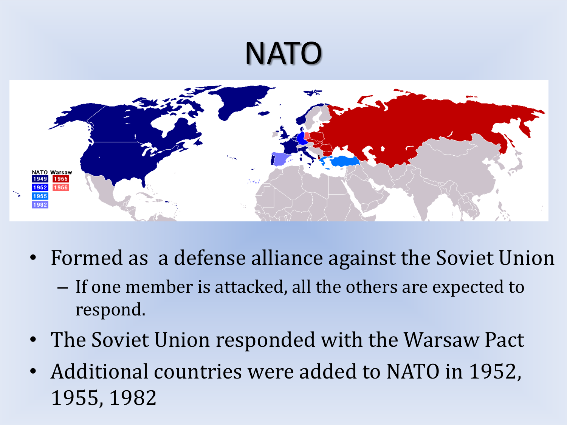### NATO



- Formed as a defense alliance against the Soviet Union
	- If one member is attacked, all the others are expected to respond.
- The Soviet Union responded with the Warsaw Pact
- Additional countries were added to NATO in 1952, 1955, 1982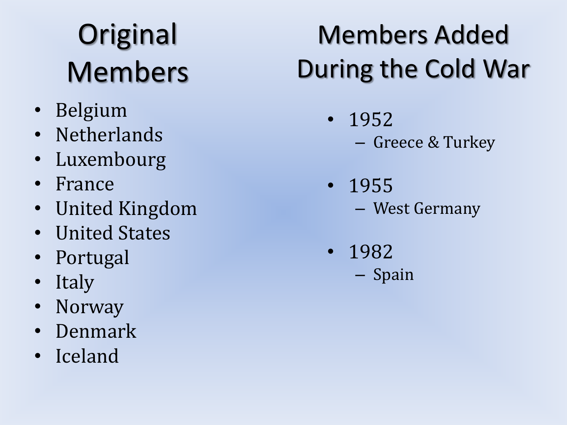# **Original** Members

- Belgium
- Netherlands
- Luxembourg
- France
- United Kingdom
- United States
- Portugal
- Italy
- Norway
- Denmark
- Iceland

### Members Added During the Cold War

- 1952
	- Greece & Turkey
- 1955 – West Germany
- 1982 – Spain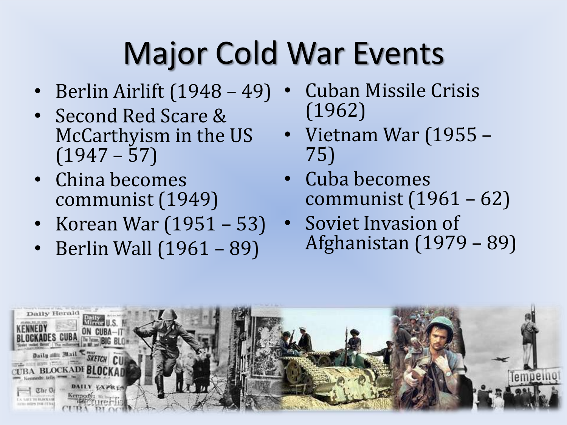# Major Cold War Events

- Berlin Airlift (1948 49)
- Second Red Scare & McCarthyism in the US  $(1947 - 57)$
- China becomes communist (1949)
- Korean War (1951 53)
- Berlin Wall (1961 89)
- Cuban Missile Crisis (1962)
- Vietnam War (1955 75)
- Cuba becomes communist (1961 – 62)
- Soviet Invasion of Afghanistan (1979 – 89)

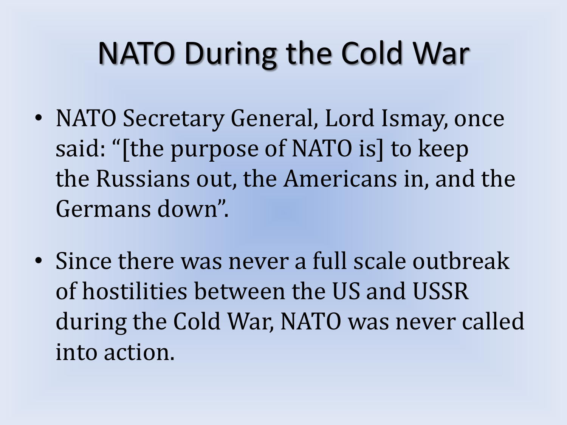# NATO During the Cold War

- NATO Secretary General, Lord Ismay, once said: "[the purpose of NATO is] to keep the Russians out, the Americans in, and the Germans down".
- Since there was never a full scale outbreak of hostilities between the US and USSR during the Cold War, NATO was never called into action.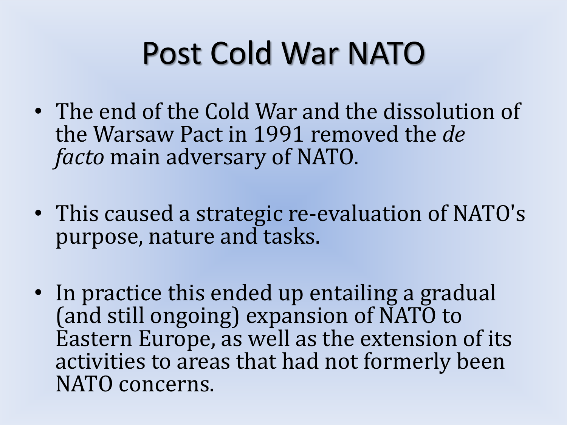# Post Cold War NATO

- The end of the Cold War and the dissolution of the Warsaw Pact in 1991 removed the *de facto* main adversary of NATO.
- This caused a strategic re-evaluation of NATO's purpose, nature and tasks.
- In practice this ended up entailing a gradual (and still ongoing) expansion of NATO to Eastern Europe, as well as the extension of its activities to areas that had not formerly been NATO concerns.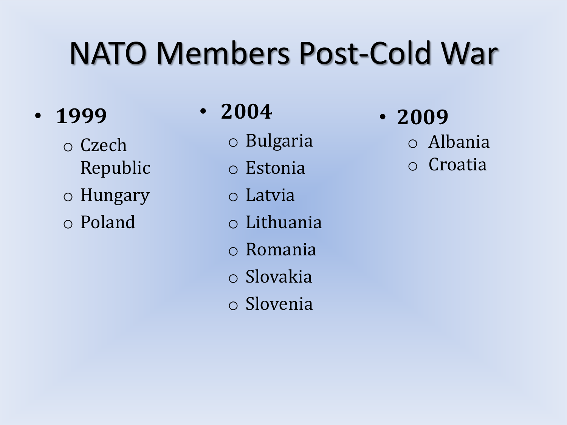# NATO Members Post-Cold War

- **1999**
	- o Czech Republic
	- o Hungary
	- o Poland
- **2004**
	- o Bulgaria
	- o Estonia
	- o Latvia
	- o Lithuania
	- o Romania
	- o Slovakia
	- o Slovenia
- **2009**
	- o Albania
	- o Croatia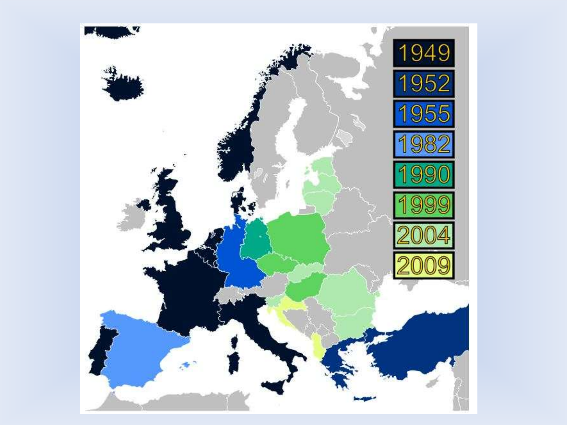